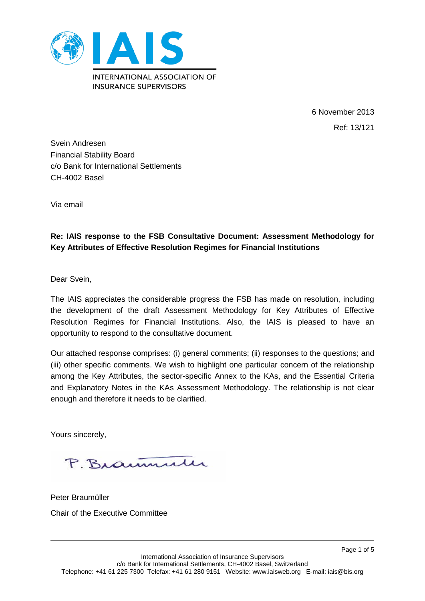

6 November 2013 Ref: 13/121

Page 1 of 5

Svein Andresen Financial Stability Board c/o Bank for International Settlements CH-4002 Basel

Via email

# **Re: IAIS response to the FSB Consultative Document: Assessment Methodology for Key Attributes of Effective Resolution Regimes for Financial Institutions**

Dear Svein,

The IAIS appreciates the considerable progress the FSB has made on resolution, including the development of the draft Assessment Methodology for Key Attributes of Effective Resolution Regimes for Financial Institutions. Also, the IAIS is pleased to have an opportunity to respond to the consultative document.

Our attached response comprises: (i) general comments; (ii) responses to the questions; and (iii) other specific comments. We wish to highlight one particular concern of the relationship among the Key Attributes, the sector-specific Annex to the KAs, and the Essential Criteria and Explanatory Notes in the KAs Assessment Methodology. The relationship is not clear enough and therefore it needs to be clarified.

Yours sincerely,

P. Braumulu

Peter Braumüller Chair of the Executive Committee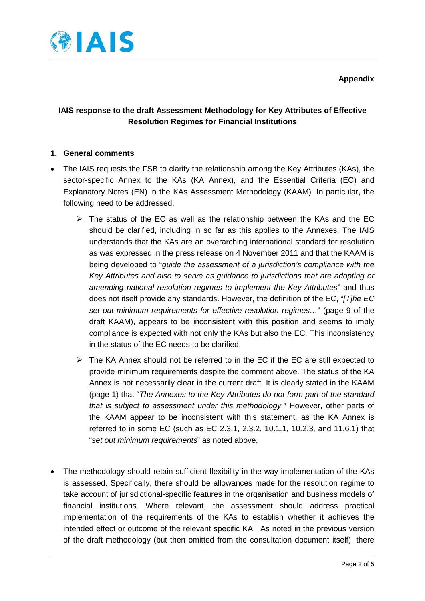

# **IAIS response to the draft Assessment Methodology for Key Attributes of Effective Resolution Regimes for Financial Institutions**

### **1. General comments**

- The IAIS requests the FSB to clarify the relationship among the Key Attributes (KAs), the sector-specific Annex to the KAs (KA Annex), and the Essential Criteria (EC) and Explanatory Notes (EN) in the KAs Assessment Methodology (KAAM). In particular, the following need to be addressed.
	- $\triangleright$  The status of the EC as well as the relationship between the KAs and the EC should be clarified, including in so far as this applies to the Annexes. The IAIS understands that the KAs are an overarching international standard for resolution as was expressed in the press release on 4 November 2011 and that the KAAM is being developed to "*guide the assessment of a jurisdiction's compliance with the Key Attributes and also to serve as guidance to jurisdictions that are adopting or amending national resolution regimes to implement the Key Attributes*" and thus does not itself provide any standards. However, the definition of the EC, "*[T]he EC set out minimum requirements for effective resolution regimes…*" (page 9 of the draft KAAM), appears to be inconsistent with this position and seems to imply compliance is expected with not only the KAs but also the EC. This inconsistency in the status of the EC needs to be clarified.
	- $\triangleright$  The KA Annex should not be referred to in the EC if the EC are still expected to provide minimum requirements despite the comment above. The status of the KA Annex is not necessarily clear in the current draft. It is clearly stated in the KAAM (page 1) that "*The Annexes to the Key Attributes do not form part of the standard that is subject to assessment under this methodology.*" However, other parts of the KAAM appear to be inconsistent with this statement, as the KA Annex is referred to in some EC (such as EC 2.3.1, 2.3.2, 10.1.1, 10.2.3, and 11.6.1) that "*set out minimum requirements*" as noted above.
- The methodology should retain sufficient flexibility in the way implementation of the KAs is assessed. Specifically, there should be allowances made for the resolution regime to take account of jurisdictional-specific features in the organisation and business models of financial institutions. Where relevant, the assessment should address practical implementation of the requirements of the KAs to establish whether it achieves the intended effect or outcome of the relevant specific KA. As noted in the previous version of the draft methodology (but then omitted from the consultation document itself), there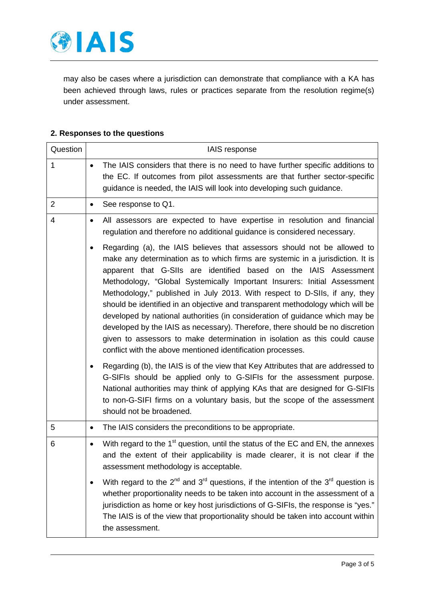

may also be cases where a jurisdiction can demonstrate that compliance with a KA has been achieved through laws, rules or practices separate from the resolution regime(s) under assessment.

#### **2. Responses to the questions**

| Question       |           | IAIS response                                                                                                                                                                                                                                                                                                                                                                                                                                                                                                                                                                                                                                                                                                                                                                           |
|----------------|-----------|-----------------------------------------------------------------------------------------------------------------------------------------------------------------------------------------------------------------------------------------------------------------------------------------------------------------------------------------------------------------------------------------------------------------------------------------------------------------------------------------------------------------------------------------------------------------------------------------------------------------------------------------------------------------------------------------------------------------------------------------------------------------------------------------|
| 1              | $\bullet$ | The IAIS considers that there is no need to have further specific additions to<br>the EC. If outcomes from pilot assessments are that further sector-specific<br>guidance is needed, the IAIS will look into developing such guidance.                                                                                                                                                                                                                                                                                                                                                                                                                                                                                                                                                  |
| $\overline{2}$ | $\bullet$ | See response to Q1.                                                                                                                                                                                                                                                                                                                                                                                                                                                                                                                                                                                                                                                                                                                                                                     |
| 4              | ٠         | All assessors are expected to have expertise in resolution and financial<br>regulation and therefore no additional guidance is considered necessary.                                                                                                                                                                                                                                                                                                                                                                                                                                                                                                                                                                                                                                    |
|                | ٠         | Regarding (a), the IAIS believes that assessors should not be allowed to<br>make any determination as to which firms are systemic in a jurisdiction. It is<br>apparent that G-SIIs are identified based on the IAIS Assessment<br>Methodology, "Global Systemically Important Insurers: Initial Assessment<br>Methodology," published in July 2013. With respect to D-SIIs, if any, they<br>should be identified in an objective and transparent methodology which will be<br>developed by national authorities (in consideration of guidance which may be<br>developed by the IAIS as necessary). Therefore, there should be no discretion<br>given to assessors to make determination in isolation as this could cause<br>conflict with the above mentioned identification processes. |
|                | ٠         | Regarding (b), the IAIS is of the view that Key Attributes that are addressed to<br>G-SIFIs should be applied only to G-SIFIs for the assessment purpose.<br>National authorities may think of applying KAs that are designed for G-SIFIs<br>to non-G-SIFI firms on a voluntary basis, but the scope of the assessment<br>should not be broadened.                                                                                                                                                                                                                                                                                                                                                                                                                                      |
| 5              | $\bullet$ | The IAIS considers the preconditions to be appropriate.                                                                                                                                                                                                                                                                                                                                                                                                                                                                                                                                                                                                                                                                                                                                 |
| 6              | $\bullet$ | With regard to the 1 <sup>st</sup> question, until the status of the EC and EN, the annexes<br>and the extent of their applicability is made clearer, it is not clear if the<br>assessment methodology is acceptable.                                                                                                                                                                                                                                                                                                                                                                                                                                                                                                                                                                   |
|                |           | With regard to the $2^{nd}$ and $3^{rd}$ questions, if the intention of the $3^{rd}$ question is<br>whether proportionality needs to be taken into account in the assessment of a<br>jurisdiction as home or key host jurisdictions of G-SIFIs, the response is "yes."<br>The IAIS is of the view that proportionality should be taken into account within<br>the assessment.                                                                                                                                                                                                                                                                                                                                                                                                           |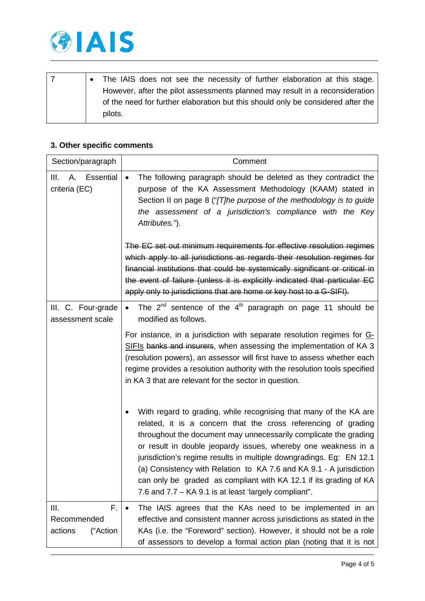

|  | The IAIS does not see the necessity of further elaboration at this stage.        |
|--|----------------------------------------------------------------------------------|
|  | However, after the pilot assessments planned may result in a reconsideration     |
|  | of the need for further elaboration but this should only be considered after the |
|  | pilots.                                                                          |

# **3. Other specific comments**

| Section/paragraph                              | Comment                                                                                                                                                                                                                                                                                                                                                                                                                                                                                                                                               |
|------------------------------------------------|-------------------------------------------------------------------------------------------------------------------------------------------------------------------------------------------------------------------------------------------------------------------------------------------------------------------------------------------------------------------------------------------------------------------------------------------------------------------------------------------------------------------------------------------------------|
| III.<br>Essential<br>А.<br>criteria (EC)       | The following paragraph should be deleted as they contradict the<br>$\bullet$<br>purpose of the KA Assessment Methodology (KAAM) stated in<br>Section II on page 8 ("[T]he purpose of the methodology is to guide<br>the assessment of a jurisdiction's compliance with the Key<br>Attributes.").                                                                                                                                                                                                                                                     |
|                                                | The EC set out minimum requirements for effective resolution regimes<br>which apply to all jurisdictions as regards their resolution regimes for<br>financial institutions that could be systemically significant or critical in<br>the event of failure (unless it is explicitly indicated that particular EC<br>apply only to jurisdictions that are home or key host to a G-SIFI).                                                                                                                                                                 |
| III. C. Four-grade<br>assessment scale         | The $2^{nd}$ sentence of the $4^{th}$ paragraph on page 11 should be<br>modified as follows.                                                                                                                                                                                                                                                                                                                                                                                                                                                          |
|                                                | For instance, in a jurisdiction with separate resolution regimes for G-<br>SIFIs banks and insurers, when assessing the implementation of KA 3<br>(resolution powers), an assessor will first have to assess whether each<br>regime provides a resolution authority with the resolution tools specified<br>in KA 3 that are relevant for the sector in question.                                                                                                                                                                                      |
|                                                | With regard to grading, while recognising that many of the KA are<br>related, it is a concern that the cross referencing of grading<br>throughout the document may unnecessarily complicate the grading<br>or result in double jeopardy issues, whereby one weakness in a<br>jurisdiction's regime results in multiple downgradings. Eg: EN 12.1<br>(a) Consistency with Relation to KA 7.6 and KA 9.1 - A jurisdiction<br>can only be graded as compliant with KA 12.1 if its grading of KA<br>7.6 and 7.7 – KA 9.1 is at least 'largely compliant". |
| F.<br>Ш.<br>Recommended<br>actions<br>("Action | The IAIS agrees that the KAs need to be implemented in an<br>effective and consistent manner across jurisdictions as stated in the<br>KAs (i.e. the "Foreword" section). However, it should not be a role<br>of assessors to develop a formal action plan (noting that it is not                                                                                                                                                                                                                                                                      |